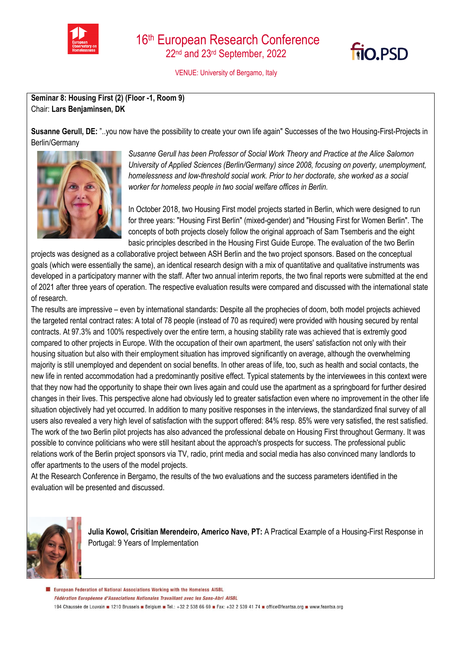



VENUE: University of Bergamo, Italy

## **Seminar 8: Housing First (2) (Floor -1, Room 9)**  Chair: **Lars Benjaminsen, DK**

**Susanne Gerull, DE:** "..you now have the possibility to create your own life again" Successes of the two Housing-First-Projects in Berlin/Germany



*Susanne Gerull has been Professor of Social Work Theory and Practice at the Alice Salomon University of Applied Sciences (Berlin/Germany) since 2008, focusing on poverty, unemployment, homelessness and low-threshold social work. Prior to her doctorate, she worked as a social worker for homeless people in two social welfare offices in Berlin.*

In October 2018, two Housing First model projects started in Berlin, which were designed to run for three years: "Housing First Berlin" (mixed-gender) and "Housing First for Women Berlin". The concepts of both projects closely follow the original approach of Sam Tsemberis and the eight basic principles described in the Housing First Guide Europe. The evaluation of the two Berlin

projects was designed as a collaborative project between ASH Berlin and the two project sponsors. Based on the conceptual goals (which were essentially the same), an identical research design with a mix of quantitative and qualitative instruments was developed in a participatory manner with the staff. After two annual interim reports, the two final reports were submitted at the end of 2021 after three years of operation. The respective evaluation results were compared and discussed with the international state of research.

The results are impressive – even by international standards: Despite all the prophecies of doom, both model projects achieved the targeted rental contract rates: A total of 78 people (instead of 70 as required) were provided with housing secured by rental contracts. At 97.3% and 100% respectively over the entire term, a housing stability rate was achieved that is extremly good compared to other projects in Europe. With the occupation of their own apartment, the users' satisfaction not only with their housing situation but also with their employment situation has improved significantly on average, although the overwhelming majority is still unemployed and dependent on social benefits. In other areas of life, too, such as health and social contacts, the new life in rented accommodation had a predominantly positive effect. Typical statements by the interviewees in this context were that they now had the opportunity to shape their own lives again and could use the apartment as a springboard for further desired changes in their lives. This perspective alone had obviously led to greater satisfaction even where no improvement in the other life situation objectively had yet occurred. In addition to many positive responses in the interviews, the standardized final survey of all users also revealed a very high level of satisfaction with the support offered: 84% resp. 85% were very satisfied, the rest satisfied. The work of the two Berlin pilot projects has also advanced the professional debate on Housing First throughout Germany. It was possible to convince politicians who were still hesitant about the approach's prospects for success. The professional public relations work of the Berlin project sponsors via TV, radio, print media and social media has also convinced many landlords to offer apartments to the users of the model projects.

At the Research Conference in Bergamo, the results of the two evaluations and the success parameters identified in the evaluation will be presented and discussed.



**Julia Kowol, Crisitian Merendeiro, Americo Nave, PT:** A Practical Example of a Housing-First Response in Portugal: 9 Years of Implementation

European Federation of National Associations Working with the Homeless AISBL Fédération Européenne d'Associations Nationales Travaillant avec les Sans-Abri AISBL 194 Chaussée de Louvain 1210 Brussels Belgium B Tel.: +32 2 538 66 69 B Fax: +32 2 539 41 74 B office@feantsa.org B www.feantsa.org